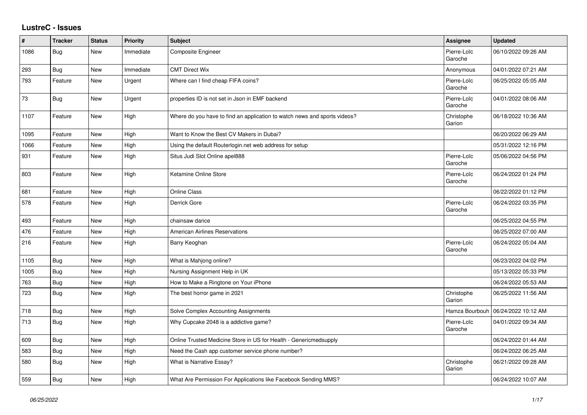## **LustreC - Issues**

| $\sharp$ | Tracker    | <b>Status</b> | <b>Priority</b> | <b>Subject</b>                                                            | Assignee               | <b>Updated</b>      |
|----------|------------|---------------|-----------------|---------------------------------------------------------------------------|------------------------|---------------------|
| 1086     | Bug        | New           | Immediate       | Composite Engineer                                                        | Pierre-Loïc<br>Garoche | 06/10/2022 09:26 AM |
| 293      | <b>Bug</b> | New           | Immediate       | <b>CMT Direct Wix</b>                                                     | Anonymous              | 04/01/2022 07:21 AM |
| 793      | Feature    | New           | Urgent          | Where can I find cheap FIFA coins?                                        | Pierre-Loïc<br>Garoche | 06/25/2022 05:05 AM |
| 73       | Bug        | New           | Urgent          | properties ID is not set in Json in EMF backend                           | Pierre-Loïc<br>Garoche | 04/01/2022 08:06 AM |
| 1107     | Feature    | <b>New</b>    | High            | Where do you have to find an application to watch news and sports videos? | Christophe<br>Garion   | 06/18/2022 10:36 AM |
| 1095     | Feature    | New           | High            | Want to Know the Best CV Makers in Dubai?                                 |                        | 06/20/2022 06:29 AM |
| 1066     | Feature    | New           | High            | Using the default Routerlogin.net web address for setup                   |                        | 05/31/2022 12:16 PM |
| 931      | Feature    | New           | High            | Situs Judi Slot Online apel888                                            | Pierre-Loïc<br>Garoche | 05/06/2022 04:56 PM |
| 803      | Feature    | New           | High            | Ketamine Online Store                                                     | Pierre-Loïc<br>Garoche | 06/24/2022 01:24 PM |
| 681      | Feature    | New           | High            | <b>Online Class</b>                                                       |                        | 06/22/2022 01:12 PM |
| 578      | Feature    | <b>New</b>    | High            | Derrick Gore                                                              | Pierre-Loïc<br>Garoche | 06/24/2022 03:35 PM |
| 493      | Feature    | <b>New</b>    | High            | chainsaw dance                                                            |                        | 06/25/2022 04:55 PM |
| 476      | Feature    | New           | High            | <b>American Airlines Reservations</b>                                     |                        | 06/25/2022 07:00 AM |
| 216      | Feature    | New           | High            | Barry Keoghan                                                             | Pierre-Loïc<br>Garoche | 06/24/2022 05:04 AM |
| 1105     | Bug        | <b>New</b>    | High            | What is Mahjong online?                                                   |                        | 06/23/2022 04:02 PM |
| 1005     | Bug        | New           | High            | Nursing Assignment Help in UK                                             |                        | 05/13/2022 05:33 PM |
| 763      | Bug        | New           | High            | How to Make a Ringtone on Your iPhone                                     |                        | 06/24/2022 05:53 AM |
| 723      | Bug        | New           | High            | The best horror game in 2021                                              | Christophe<br>Garion   | 06/25/2022 11:56 AM |
| 718      | <b>Bug</b> | New           | High            | Solve Complex Accounting Assignments                                      | Hamza Bourbouh         | 06/24/2022 10:12 AM |
| 713      | Bug        | New           | High            | Why Cupcake 2048 is a addictive game?                                     | Pierre-Loïc<br>Garoche | 04/01/2022 09:34 AM |
| 609      | Bug        | <b>New</b>    | High            | Online Trusted Medicine Store in US for Health - Genericmedsupply         |                        | 06/24/2022 01:44 AM |
| 583      | <b>Bug</b> | New           | High            | Need the Cash app customer service phone number?                          |                        | 06/24/2022 06:25 AM |
| 580      | Bug        | New           | High            | What is Narrative Essay?                                                  | Christophe<br>Garion   | 06/21/2022 09:28 AM |
| 559      | Bug        | <b>New</b>    | High            | What Are Permission For Applications like Facebook Sending MMS?           |                        | 06/24/2022 10:07 AM |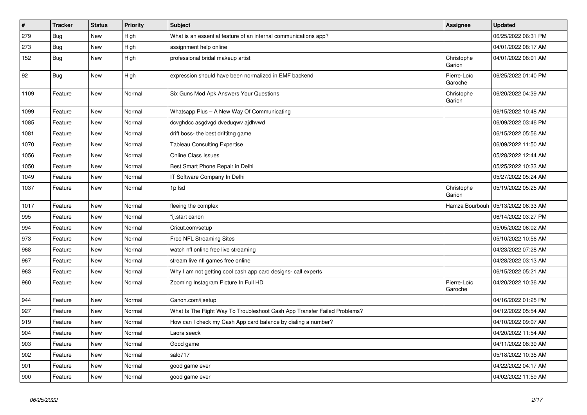| $\vert$ # | <b>Tracker</b> | <b>Status</b> | Priority | <b>Subject</b>                                                           | Assignee               | <b>Updated</b>      |
|-----------|----------------|---------------|----------|--------------------------------------------------------------------------|------------------------|---------------------|
| 279       | <b>Bug</b>     | <b>New</b>    | High     | What is an essential feature of an internal communications app?          |                        | 06/25/2022 06:31 PM |
| 273       | Bug            | <b>New</b>    | High     | assignment help online                                                   |                        | 04/01/2022 08:17 AM |
| 152       | <b>Bug</b>     | New           | High     | professional bridal makeup artist                                        | Christophe<br>Garion   | 04/01/2022 08:01 AM |
| 92        | Bug            | New           | High     | expression should have been normalized in EMF backend                    | Pierre-Loïc<br>Garoche | 06/25/2022 01:40 PM |
| 1109      | Feature        | New           | Normal   | Six Guns Mod Apk Answers Your Questions                                  | Christophe<br>Garion   | 06/20/2022 04:39 AM |
| 1099      | Feature        | New           | Normal   | Whatsapp Plus - A New Way Of Communicating                               |                        | 06/15/2022 10:48 AM |
| 1085      | Feature        | <b>New</b>    | Normal   | dcvghdcc asgdvgd dveduqwv ajdhvwd                                        |                        | 06/09/2022 03:46 PM |
| 1081      | Feature        | <b>New</b>    | Normal   | drift boss- the best driftitng game                                      |                        | 06/15/2022 05:56 AM |
| 1070      | Feature        | <b>New</b>    | Normal   | <b>Tableau Consulting Expertise</b>                                      |                        | 06/09/2022 11:50 AM |
| 1056      | Feature        | New           | Normal   | <b>Online Class Issues</b>                                               |                        | 05/28/2022 12:44 AM |
| 1050      | Feature        | New           | Normal   | Best Smart Phone Repair in Delhi                                         |                        | 05/25/2022 10:33 AM |
| 1049      | Feature        | New           | Normal   | IT Software Company In Delhi                                             |                        | 05/27/2022 05:24 AM |
| 1037      | Feature        | <b>New</b>    | Normal   | 1p lsd                                                                   | Christophe<br>Garion   | 05/19/2022 05:25 AM |
| 1017      | Feature        | <b>New</b>    | Normal   | fleeing the complex                                                      | Hamza Bourbouh         | 05/13/2022 06:33 AM |
| 995       | Feature        | <b>New</b>    | Normal   | "ij.start canon                                                          |                        | 06/14/2022 03:27 PM |
| 994       | Feature        | <b>New</b>    | Normal   | Cricut.com/setup                                                         |                        | 05/05/2022 06:02 AM |
| 973       | Feature        | <b>New</b>    | Normal   | <b>Free NFL Streaming Sites</b>                                          |                        | 05/10/2022 10:56 AM |
| 968       | Feature        | <b>New</b>    | Normal   | watch nfl online free live streaming                                     |                        | 04/23/2022 07:28 AM |
| 967       | Feature        | <b>New</b>    | Normal   | stream live nfl games free online                                        |                        | 04/28/2022 03:13 AM |
| 963       | Feature        | <b>New</b>    | Normal   | Why I am not getting cool cash app card designs- call experts            |                        | 06/15/2022 05:21 AM |
| 960       | Feature        | New           | Normal   | Zooming Instagram Picture In Full HD                                     | Pierre-Loïc<br>Garoche | 04/20/2022 10:36 AM |
| 944       | Feature        | New           | Normal   | Canon.com/ijsetup                                                        |                        | 04/16/2022 01:25 PM |
| 927       | Feature        | <b>New</b>    | Normal   | What Is The Right Way To Troubleshoot Cash App Transfer Failed Problems? |                        | 04/12/2022 05:54 AM |
| 919       | Feature        | <b>New</b>    | Normal   | How can I check my Cash App card balance by dialing a number?            |                        | 04/10/2022 09:07 AM |
| 904       | Feature        | New           | Normal   | Laora seeck                                                              |                        | 04/20/2022 11:54 AM |
| 903       | Feature        | New           | Normal   | Good game                                                                |                        | 04/11/2022 08:39 AM |
| 902       | Feature        | <b>New</b>    | Normal   | salo717                                                                  |                        | 05/18/2022 10:35 AM |
| 901       | Feature        | <b>New</b>    | Normal   | good game ever                                                           |                        | 04/22/2022 04:17 AM |
| 900       | Feature        | <b>New</b>    | Normal   | good game ever                                                           |                        | 04/02/2022 11:59 AM |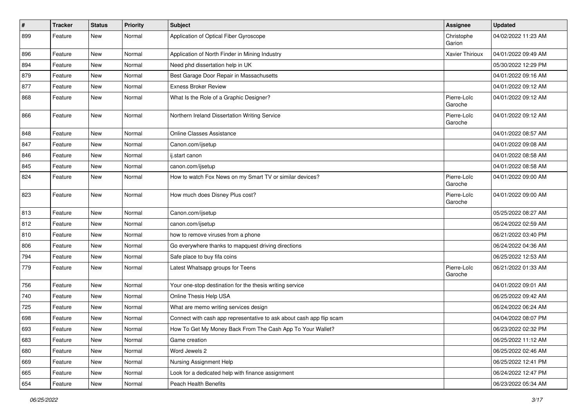| $\sharp$ | <b>Tracker</b> | <b>Status</b> | Priority | <b>Subject</b>                                                       | Assignee               | <b>Updated</b>      |
|----------|----------------|---------------|----------|----------------------------------------------------------------------|------------------------|---------------------|
| 899      | Feature        | New           | Normal   | Application of Optical Fiber Gyroscope                               | Christophe<br>Garion   | 04/02/2022 11:23 AM |
| 896      | Feature        | New           | Normal   | Application of North Finder in Mining Industry                       | Xavier Thirioux        | 04/01/2022 09:49 AM |
| 894      | Feature        | New           | Normal   | Need phd dissertation help in UK                                     |                        | 05/30/2022 12:29 PM |
| 879      | Feature        | New           | Normal   | Best Garage Door Repair in Massachusetts                             |                        | 04/01/2022 09:16 AM |
| 877      | Feature        | New           | Normal   | <b>Exness Broker Review</b>                                          |                        | 04/01/2022 09:12 AM |
| 868      | Feature        | New           | Normal   | What Is the Role of a Graphic Designer?                              | Pierre-Loïc<br>Garoche | 04/01/2022 09:12 AM |
| 866      | Feature        | New           | Normal   | Northern Ireland Dissertation Writing Service                        | Pierre-Loïc<br>Garoche | 04/01/2022 09:12 AM |
| 848      | Feature        | New           | Normal   | <b>Online Classes Assistance</b>                                     |                        | 04/01/2022 08:57 AM |
| 847      | Feature        | New           | Normal   | Canon.com/ijsetup                                                    |                        | 04/01/2022 09:08 AM |
| 846      | Feature        | New           | Normal   | ij.start canon                                                       |                        | 04/01/2022 08:58 AM |
| 845      | Feature        | New           | Normal   | canon.com/ijsetup                                                    |                        | 04/01/2022 08:58 AM |
| 824      | Feature        | New           | Normal   | How to watch Fox News on my Smart TV or similar devices?             | Pierre-Loïc<br>Garoche | 04/01/2022 09:00 AM |
| 823      | Feature        | New           | Normal   | How much does Disney Plus cost?                                      | Pierre-Loïc<br>Garoche | 04/01/2022 09:00 AM |
| 813      | Feature        | New           | Normal   | Canon.com/ijsetup                                                    |                        | 05/25/2022 08:27 AM |
| 812      | Feature        | New           | Normal   | canon.com/ijsetup                                                    |                        | 06/24/2022 02:59 AM |
| 810      | Feature        | New           | Normal   | how to remove viruses from a phone                                   |                        | 06/21/2022 03:40 PM |
| 806      | Feature        | New           | Normal   | Go everywhere thanks to mapquest driving directions                  |                        | 06/24/2022 04:36 AM |
| 794      | Feature        | New           | Normal   | Safe place to buy fifa coins                                         |                        | 06/25/2022 12:53 AM |
| 779      | Feature        | New           | Normal   | Latest Whatsapp groups for Teens                                     | Pierre-Loïc<br>Garoche | 06/21/2022 01:33 AM |
| 756      | Feature        | New           | Normal   | Your one-stop destination for the thesis writing service             |                        | 04/01/2022 09:01 AM |
| 740      | Feature        | New           | Normal   | Online Thesis Help USA                                               |                        | 06/25/2022 09:42 AM |
| 725      | Feature        | New           | Normal   | What are memo writing services design                                |                        | 06/24/2022 06:24 AM |
| 698      | Feature        | New           | Normal   | Connect with cash app representative to ask about cash app flip scam |                        | 04/04/2022 08:07 PM |
| 693      | Feature        | New           | Normal   | How To Get My Money Back From The Cash App To Your Wallet?           |                        | 06/23/2022 02:32 PM |
| 683      | Feature        | New           | Normal   | Game creation                                                        |                        | 06/25/2022 11:12 AM |
| 680      | Feature        | New           | Normal   | Word Jewels 2                                                        |                        | 06/25/2022 02:46 AM |
| 669      | Feature        | New           | Normal   | Nursing Assignment Help                                              |                        | 06/25/2022 12:41 PM |
| 665      | Feature        | New           | Normal   | Look for a dedicated help with finance assignment                    |                        | 06/24/2022 12:47 PM |
| 654      | Feature        | New           | Normal   | Peach Health Benefits                                                |                        | 06/23/2022 05:34 AM |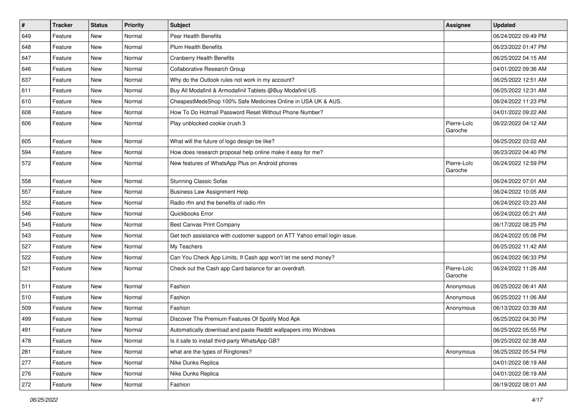| $\sharp$ | <b>Tracker</b> | <b>Status</b> | Priority | Subject                                                                   | Assignee               | <b>Updated</b>      |
|----------|----------------|---------------|----------|---------------------------------------------------------------------------|------------------------|---------------------|
| 649      | Feature        | New           | Normal   | Pear Health Benefits                                                      |                        | 06/24/2022 09:49 PM |
| 648      | Feature        | <b>New</b>    | Normal   | <b>Plum Health Benefits</b>                                               |                        | 06/23/2022 01:47 PM |
| 647      | Feature        | New           | Normal   | <b>Cranberry Health Benefits</b>                                          |                        | 06/25/2022 04:15 AM |
| 646      | Feature        | New           | Normal   | Collaborative Research Group                                              |                        | 04/01/2022 09:36 AM |
| 637      | Feature        | New           | Normal   | Why do the Outlook rules not work in my account?                          |                        | 06/25/2022 12:51 AM |
| 611      | Feature        | New           | Normal   | Buy All Modafinil & Armodafinil Tablets @Buy Modafinil US                 |                        | 06/25/2022 12:31 AM |
| 610      | Feature        | New           | Normal   | CheapestMedsShop 100% Safe Medicines Online in USA UK & AUS.              |                        | 06/24/2022 11:23 PM |
| 608      | Feature        | New           | Normal   | How To Do Hotmail Password Reset Without Phone Number?                    |                        | 04/01/2022 09:22 AM |
| 606      | Feature        | New           | Normal   | Play unblocked cookie crush 3                                             | Pierre-Loïc<br>Garoche | 06/22/2022 04:12 AM |
| 605      | Feature        | New           | Normal   | What will the future of logo design be like?                              |                        | 06/25/2022 03:02 AM |
| 594      | Feature        | New           | Normal   | How does research proposal help online make it easy for me?               |                        | 06/23/2022 04:40 PM |
| 572      | Feature        | New           | Normal   | New features of WhatsApp Plus on Android phones                           | Pierre-Loïc<br>Garoche | 06/24/2022 12:59 PM |
| 558      | Feature        | New           | Normal   | <b>Stunning Classic Sofas</b>                                             |                        | 06/24/2022 07:01 AM |
| 557      | Feature        | New           | Normal   | <b>Business Law Assignment Help</b>                                       |                        | 06/24/2022 10:05 AM |
| 552      | Feature        | New           | Normal   | Radio rfm and the benefits of radio rfm                                   |                        | 06/24/2022 03:23 AM |
| 546      | Feature        | New           | Normal   | Quickbooks Error                                                          |                        | 06/24/2022 05:21 AM |
| 545      | Feature        | New           | Normal   | Best Canvas Print Company                                                 |                        | 06/17/2022 08:25 PM |
| 543      | Feature        | New           | Normal   | Get tech assistance with customer support on ATT Yahoo email login issue. |                        | 06/24/2022 05:08 PM |
| 527      | Feature        | New           | Normal   | My Teachers                                                               |                        | 06/25/2022 11:42 AM |
| 522      | Feature        | New           | Normal   | Can You Check App Limits, If Cash app won't let me send money?            |                        | 06/24/2022 06:33 PM |
| 521      | Feature        | New           | Normal   | Check out the Cash app Card balance for an overdraft.                     | Pierre-Loïc<br>Garoche | 06/24/2022 11:26 AM |
| 511      | Feature        | New           | Normal   | Fashion                                                                   | Anonymous              | 06/25/2022 06:41 AM |
| 510      | Feature        | New           | Normal   | Fashion                                                                   | Anonymous              | 06/25/2022 11:06 AM |
| 509      | Feature        | New           | Normal   | Fashion                                                                   | Anonymous              | 06/13/2022 03:39 AM |
| 499      | Feature        | New           | Normal   | Discover The Premium Features Of Spotify Mod Apk                          |                        | 06/25/2022 04:30 PM |
| 491      | Feature        | New           | Normal   | Automatically download and paste Reddit wallpapers into Windows           |                        | 06/25/2022 05:55 PM |
| 478      | Feature        | New           | Normal   | Is it safe to install third-party WhatsApp GB?                            |                        | 06/25/2022 02:38 AM |
| 281      | Feature        | New           | Normal   | what are the types of Ringtones?                                          | Anonymous              | 06/25/2022 05:54 PM |
| 277      | Feature        | New           | Normal   | Nike Dunks Replica                                                        |                        | 04/01/2022 08:19 AM |
| 276      | Feature        | New           | Normal   | Nike Dunks Replica                                                        |                        | 04/01/2022 08:19 AM |
| 272      | Feature        | New           | Normal   | Fashion                                                                   |                        | 06/19/2022 08:01 AM |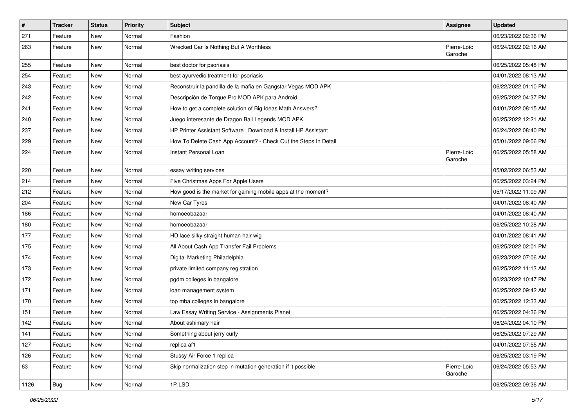| $\vert$ # | Tracker    | <b>Status</b> | <b>Priority</b> | Subject                                                         | Assignee               | <b>Updated</b>      |
|-----------|------------|---------------|-----------------|-----------------------------------------------------------------|------------------------|---------------------|
| 271       | Feature    | New           | Normal          | Fashion                                                         |                        | 06/23/2022 02:36 PM |
| 263       | Feature    | New           | Normal          | Wrecked Car Is Nothing But A Worthless                          | Pierre-Loïc<br>Garoche | 06/24/2022 02:16 AM |
| 255       | Feature    | New           | Normal          | best doctor for psoriasis                                       |                        | 06/25/2022 05:48 PM |
| 254       | Feature    | New           | Normal          | best ayurvedic treatment for psoriasis                          |                        | 04/01/2022 08:13 AM |
| 243       | Feature    | New           | Normal          | Reconstruir la pandilla de la mafia en Gangstar Vegas MOD APK   |                        | 06/22/2022 01:10 PM |
| 242       | Feature    | New           | Normal          | Descripción de Torque Pro MOD APK para Android                  |                        | 06/25/2022 04:37 PM |
| 241       | Feature    | New           | Normal          | How to get a complete solution of Big Ideas Math Answers?       |                        | 04/01/2022 08:15 AM |
| 240       | Feature    | New           | Normal          | Juego interesante de Dragon Ball Legends MOD APK                |                        | 06/25/2022 12:21 AM |
| 237       | Feature    | New           | Normal          | HP Printer Assistant Software   Download & Install HP Assistant |                        | 06/24/2022 08:40 PM |
| 229       | Feature    | New           | Normal          | How To Delete Cash App Account? - Check Out the Steps In Detail |                        | 05/01/2022 09:06 PM |
| 224       | Feature    | New           | Normal          | Instant Personal Loan                                           | Pierre-Loïc<br>Garoche | 06/25/2022 05:58 AM |
| 220       | Feature    | New           | Normal          | essay writing services                                          |                        | 05/02/2022 06:53 AM |
| 214       | Feature    | New           | Normal          | Five Christmas Apps For Apple Users                             |                        | 06/25/2022 03:24 PM |
| 212       | Feature    | New           | Normal          | How good is the market for gaming mobile apps at the moment?    |                        | 05/17/2022 11:09 AM |
| 204       | Feature    | New           | Normal          | New Car Tyres                                                   |                        | 04/01/2022 08:40 AM |
| 186       | Feature    | New           | Normal          | homoeobazaar                                                    |                        | 04/01/2022 08:40 AM |
| 180       | Feature    | New           | Normal          | homoeobazaar                                                    |                        | 06/25/2022 10:28 AM |
| 177       | Feature    | New           | Normal          | HD lace silky straight human hair wig                           |                        | 04/01/2022 08:41 AM |
| 175       | Feature    | New           | Normal          | All About Cash App Transfer Fail Problems                       |                        | 06/25/2022 02:01 PM |
| 174       | Feature    | New           | Normal          | Digital Marketing Philadelphia                                  |                        | 06/23/2022 07:06 AM |
| 173       | Feature    | New           | Normal          | private limited company registration                            |                        | 06/25/2022 11:13 AM |
| 172       | Feature    | New           | Normal          | pgdm colleges in bangalore                                      |                        | 06/23/2022 10:47 PM |
| 171       | Feature    | New           | Normal          | loan management system                                          |                        | 06/25/2022 09:42 AM |
| 170       | Feature    | New           | Normal          | top mba colleges in bangalore                                   |                        | 06/25/2022 12:33 AM |
| 151       | Feature    | New           | Normal          | Law Essay Writing Service - Assignments Planet                  |                        | 06/25/2022 04:36 PM |
| 142       | Feature    | New           | Normal          | About ashimary hair                                             |                        | 06/24/2022 04:10 PM |
| 141       | Feature    | New           | Normal          | Something about jerry curly                                     |                        | 06/25/2022 07:29 AM |
| 127       | Feature    | New           | Normal          | replica af1                                                     |                        | 04/01/2022 07:55 AM |
| 126       | Feature    | New           | Normal          | Stussy Air Force 1 replica                                      |                        | 06/25/2022 03:19 PM |
| 63        | Feature    | New           | Normal          | Skip normalization step in mutation generation if it possible   | Pierre-Loïc<br>Garoche | 06/24/2022 05:53 AM |
| 1126      | <b>Bug</b> | New           | Normal          | 1PLSD                                                           |                        | 06/25/2022 09:36 AM |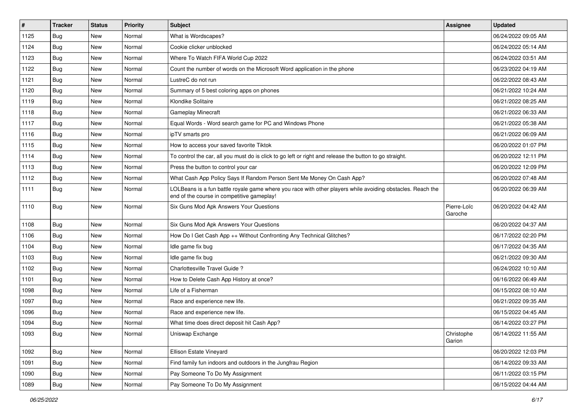| #    | <b>Tracker</b> | <b>Status</b> | <b>Priority</b> | <b>Subject</b>                                                                                                                                           | Assignee               | <b>Updated</b>      |
|------|----------------|---------------|-----------------|----------------------------------------------------------------------------------------------------------------------------------------------------------|------------------------|---------------------|
| 1125 | Bug            | New           | Normal          | What is Wordscapes?                                                                                                                                      |                        | 06/24/2022 09:05 AM |
| 1124 | Bug            | <b>New</b>    | Normal          | Cookie clicker unblocked                                                                                                                                 |                        | 06/24/2022 05:14 AM |
| 1123 | Bug            | New           | Normal          | Where To Watch FIFA World Cup 2022                                                                                                                       |                        | 06/24/2022 03:51 AM |
| 1122 | Bug            | New           | Normal          | Count the number of words on the Microsoft Word application in the phone                                                                                 |                        | 06/23/2022 04:19 AM |
| 1121 | Bug            | <b>New</b>    | Normal          | LustreC do not run                                                                                                                                       |                        | 06/22/2022 08:43 AM |
| 1120 | Bug            | New           | Normal          | Summary of 5 best coloring apps on phones                                                                                                                |                        | 06/21/2022 10:24 AM |
| 1119 | Bug            | New           | Normal          | Klondike Solitaire                                                                                                                                       |                        | 06/21/2022 08:25 AM |
| 1118 | Bug            | New           | Normal          | <b>Gameplay Minecraft</b>                                                                                                                                |                        | 06/21/2022 06:33 AM |
| 1117 | Bug            | New           | Normal          | Equal Words - Word search game for PC and Windows Phone                                                                                                  |                        | 06/21/2022 05:38 AM |
| 1116 | Bug            | New           | Normal          | ipTV smarts pro                                                                                                                                          |                        | 06/21/2022 06:09 AM |
| 1115 | Bug            | New           | Normal          | How to access your saved favorite Tiktok                                                                                                                 |                        | 06/20/2022 01:07 PM |
| 1114 | Bug            | New           | Normal          | To control the car, all you must do is click to go left or right and release the button to go straight.                                                  |                        | 06/20/2022 12:11 PM |
| 1113 | Bug            | New           | Normal          | Press the button to control your car                                                                                                                     |                        | 06/20/2022 12:09 PM |
| 1112 | Bug            | New           | Normal          | What Cash App Policy Says If Random Person Sent Me Money On Cash App?                                                                                    |                        | 06/20/2022 07:48 AM |
| 1111 | Bug            | New           | Normal          | LOLBeans is a fun battle royale game where you race with other players while avoiding obstacles. Reach the<br>end of the course in competitive gameplay! |                        | 06/20/2022 06:39 AM |
| 1110 | Bug            | New           | Normal          | Six Guns Mod Apk Answers Your Questions                                                                                                                  | Pierre-Loïc<br>Garoche | 06/20/2022 04:42 AM |
| 1108 | Bug            | New           | Normal          | Six Guns Mod Apk Answers Your Questions                                                                                                                  |                        | 06/20/2022 04:37 AM |
| 1106 | Bug            | New           | Normal          | How Do I Get Cash App ++ Without Confronting Any Technical Glitches?                                                                                     |                        | 06/17/2022 02:20 PM |
| 1104 | Bug            | New           | Normal          | Idle game fix bug                                                                                                                                        |                        | 06/17/2022 04:35 AM |
| 1103 | Bug            | New           | Normal          | Idle game fix bug                                                                                                                                        |                        | 06/21/2022 09:30 AM |
| 1102 | Bug            | New           | Normal          | Charlottesville Travel Guide?                                                                                                                            |                        | 06/24/2022 10:10 AM |
| 1101 | Bug            | New           | Normal          | How to Delete Cash App History at once?                                                                                                                  |                        | 06/16/2022 06:49 AM |
| 1098 | Bug            | New           | Normal          | Life of a Fisherman                                                                                                                                      |                        | 06/15/2022 08:10 AM |
| 1097 | Bug            | New           | Normal          | Race and experience new life.                                                                                                                            |                        | 06/21/2022 09:35 AM |
| 1096 | Bug            | New           | Normal          | Race and experience new life.                                                                                                                            |                        | 06/15/2022 04:45 AM |
| 1094 | Bug            | New           | Normal          | What time does direct deposit hit Cash App?                                                                                                              |                        | 06/14/2022 03:27 PM |
| 1093 | <b>Bug</b>     | New           | Normal          | Uniswap Exchange                                                                                                                                         | Christophe<br>Garion   | 06/14/2022 11:55 AM |
| 1092 | Bug            | New           | Normal          | Ellison Estate Vineyard                                                                                                                                  |                        | 06/20/2022 12:03 PM |
| 1091 | Bug            | New           | Normal          | Find family fun indoors and outdoors in the Jungfrau Region                                                                                              |                        | 06/14/2022 09:33 AM |
| 1090 | Bug            | New           | Normal          | Pay Someone To Do My Assignment                                                                                                                          |                        | 06/11/2022 03:15 PM |
| 1089 | Bug            | New           | Normal          | Pay Someone To Do My Assignment                                                                                                                          |                        | 06/15/2022 04:44 AM |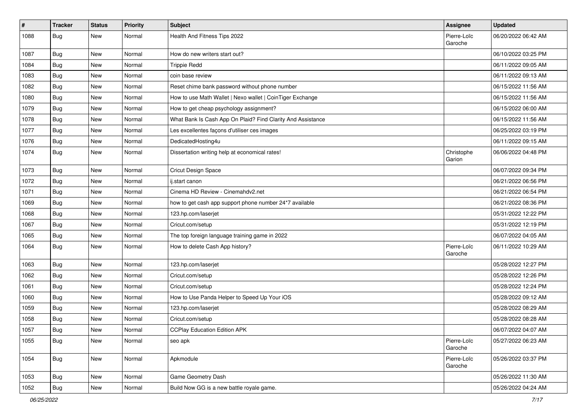| $\vert$ # | <b>Tracker</b> | <b>Status</b> | <b>Priority</b> | <b>Subject</b>                                              | Assignee               | <b>Updated</b>      |
|-----------|----------------|---------------|-----------------|-------------------------------------------------------------|------------------------|---------------------|
| 1088      | Bug            | New           | Normal          | Health And Fitness Tips 2022                                | Pierre-Loïc<br>Garoche | 06/20/2022 06:42 AM |
| 1087      | Bug            | New           | Normal          | How do new writers start out?                               |                        | 06/10/2022 03:25 PM |
| 1084      | <b>Bug</b>     | New           | Normal          | <b>Trippie Redd</b>                                         |                        | 06/11/2022 09:05 AM |
| 1083      | Bug            | New           | Normal          | coin base review                                            |                        | 06/11/2022 09:13 AM |
| 1082      | Bug            | New           | Normal          | Reset chime bank password without phone number              |                        | 06/15/2022 11:56 AM |
| 1080      | Bug            | New           | Normal          | How to use Math Wallet   Nexo wallet   CoinTiger Exchange   |                        | 06/15/2022 11:56 AM |
| 1079      | Bug            | New           | Normal          | How to get cheap psychology assignment?                     |                        | 06/15/2022 06:00 AM |
| 1078      | Bug            | New           | Normal          | What Bank Is Cash App On Plaid? Find Clarity And Assistance |                        | 06/15/2022 11:56 AM |
| 1077      | <b>Bug</b>     | New           | Normal          | Les excellentes façons d'utiliser ces images                |                        | 06/25/2022 03:19 PM |
| 1076      | Bug            | New           | Normal          | DedicatedHosting4u                                          |                        | 06/11/2022 09:15 AM |
| 1074      | <b>Bug</b>     | New           | Normal          | Dissertation writing help at economical rates!              | Christophe<br>Garion   | 06/06/2022 04:48 PM |
| 1073      | Bug            | New           | Normal          | Cricut Design Space                                         |                        | 06/07/2022 09:34 PM |
| 1072      | Bug            | New           | Normal          | ij.start canon                                              |                        | 06/21/2022 06:56 PM |
| 1071      | Bug            | New           | Normal          | Cinema HD Review - Cinemahdv2.net                           |                        | 06/21/2022 06:54 PM |
| 1069      | Bug            | New           | Normal          | how to get cash app support phone number 24*7 available     |                        | 06/21/2022 08:36 PM |
| 1068      | Bug            | New           | Normal          | 123.hp.com/laserjet                                         |                        | 05/31/2022 12:22 PM |
| 1067      | Bug            | New           | Normal          | Cricut.com/setup                                            |                        | 05/31/2022 12:19 PM |
| 1065      | Bug            | New           | Normal          | The top foreign language training game in 2022              |                        | 06/07/2022 04:05 AM |
| 1064      | Bug            | New           | Normal          | How to delete Cash App history?                             | Pierre-Loïc<br>Garoche | 06/11/2022 10:29 AM |
| 1063      | Bug            | New           | Normal          | 123.hp.com/laserjet                                         |                        | 05/28/2022 12:27 PM |
| 1062      | Bug            | New           | Normal          | Cricut.com/setup                                            |                        | 05/28/2022 12:26 PM |
| 1061      | Bug            | New           | Normal          | Cricut.com/setup                                            |                        | 05/28/2022 12:24 PM |
| 1060      | Bug            | New           | Normal          | How to Use Panda Helper to Speed Up Your iOS                |                        | 05/28/2022 09:12 AM |
| 1059      | <b>Bug</b>     | New           | Normal          | 123.hp.com/laserjet                                         |                        | 05/28/2022 08:29 AM |
| 1058      | <b>Bug</b>     | New           | Normal          | Cricut.com/setup                                            |                        | 05/28/2022 08:28 AM |
| 1057      | Bug            | New           | Normal          | <b>CCPlay Education Edition APK</b>                         |                        | 06/07/2022 04:07 AM |
| 1055      | Bug            | New           | Normal          | seo apk                                                     | Pierre-Loïc<br>Garoche | 05/27/2022 06:23 AM |
| 1054      | Bug            | New           | Normal          | Apkmodule                                                   | Pierre-Loïc<br>Garoche | 05/26/2022 03:37 PM |
| 1053      | <b>Bug</b>     | New           | Normal          | Game Geometry Dash                                          |                        | 05/26/2022 11:30 AM |
| 1052      | Bug            | New           | Normal          | Build Now GG is a new battle royale game.                   |                        | 05/26/2022 04:24 AM |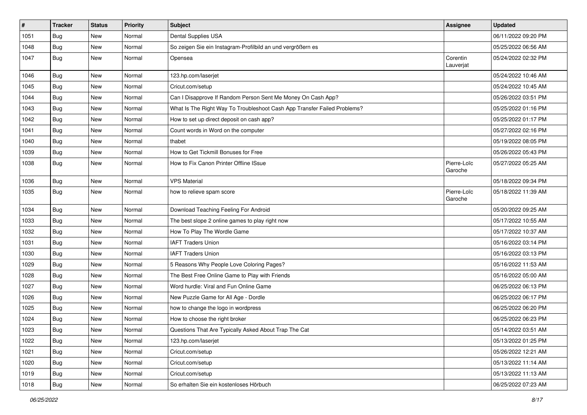| $\vert$ # | <b>Tracker</b> | <b>Status</b> | <b>Priority</b> | <b>Subject</b>                                                           | <b>Assignee</b>        | <b>Updated</b>      |
|-----------|----------------|---------------|-----------------|--------------------------------------------------------------------------|------------------------|---------------------|
| 1051      | <b>Bug</b>     | New           | Normal          | Dental Supplies USA                                                      |                        | 06/11/2022 09:20 PM |
| 1048      | Bug            | <b>New</b>    | Normal          | So zeigen Sie ein Instagram-Profilbild an und vergrößern es              |                        | 05/25/2022 06:56 AM |
| 1047      | Bug            | New           | Normal          | Opensea                                                                  | Corentin<br>Lauverjat  | 05/24/2022 02:32 PM |
| 1046      | Bug            | <b>New</b>    | Normal          | 123.hp.com/laserjet                                                      |                        | 05/24/2022 10:46 AM |
| 1045      | Bug            | <b>New</b>    | Normal          | Cricut.com/setup                                                         |                        | 05/24/2022 10:45 AM |
| 1044      | Bug            | New           | Normal          | Can I Disapprove If Random Person Sent Me Money On Cash App?             |                        | 05/26/2022 03:51 PM |
| 1043      | Bug            | <b>New</b>    | Normal          | What Is The Right Way To Troubleshoot Cash App Transfer Failed Problems? |                        | 05/25/2022 01:16 PM |
| 1042      | <b>Bug</b>     | New           | Normal          | How to set up direct deposit on cash app?                                |                        | 05/25/2022 01:17 PM |
| 1041      | Bug            | <b>New</b>    | Normal          | Count words in Word on the computer                                      |                        | 05/27/2022 02:16 PM |
| 1040      | Bug            | New           | Normal          | thabet                                                                   |                        | 05/19/2022 08:05 PM |
| 1039      | Bug            | New           | Normal          | How to Get Tickmill Bonuses for Free                                     |                        | 05/26/2022 05:43 PM |
| 1038      | Bug            | <b>New</b>    | Normal          | How to Fix Canon Printer Offline ISsue                                   | Pierre-Loïc<br>Garoche | 05/27/2022 05:25 AM |
| 1036      | Bug            | <b>New</b>    | Normal          | <b>VPS Material</b>                                                      |                        | 05/18/2022 09:34 PM |
| 1035      | Bug            | <b>New</b>    | Normal          | how to relieve spam score                                                | Pierre-Loïc<br>Garoche | 05/18/2022 11:39 AM |
| 1034      | Bug            | <b>New</b>    | Normal          | Download Teaching Feeling For Android                                    |                        | 05/20/2022 09:25 AM |
| 1033      | Bug            | New           | Normal          | The best slope 2 online games to play right now                          |                        | 05/17/2022 10:55 AM |
| 1032      | Bug            | New           | Normal          | How To Play The Wordle Game                                              |                        | 05/17/2022 10:37 AM |
| 1031      | Bug            | New           | Normal          | <b>IAFT Traders Union</b>                                                |                        | 05/16/2022 03:14 PM |
| 1030      | <b>Bug</b>     | New           | Normal          | <b>IAFT Traders Union</b>                                                |                        | 05/16/2022 03:13 PM |
| 1029      | Bug            | <b>New</b>    | Normal          | 5 Reasons Why People Love Coloring Pages?                                |                        | 05/16/2022 11:53 AM |
| 1028      | Bug            | New           | Normal          | The Best Free Online Game to Play with Friends                           |                        | 05/16/2022 05:00 AM |
| 1027      | Bug            | <b>New</b>    | Normal          | Word hurdle: Viral and Fun Online Game                                   |                        | 06/25/2022 06:13 PM |
| 1026      | Bug            | <b>New</b>    | Normal          | New Puzzle Game for All Age - Dordle                                     |                        | 06/25/2022 06:17 PM |
| 1025      | Bug            | New           | Normal          | how to change the logo in wordpress                                      |                        | 06/25/2022 06:20 PM |
| 1024      | Bug            | New           | Normal          | How to choose the right broker                                           |                        | 06/25/2022 06:23 PM |
| 1023      | Bug            | New           | Normal          | Questions That Are Typically Asked About Trap The Cat                    |                        | 05/14/2022 03:51 AM |
| 1022      | Bug            | New           | Normal          | 123.hp.com/laserjet                                                      |                        | 05/13/2022 01:25 PM |
| 1021      | Bug            | New           | Normal          | Cricut.com/setup                                                         |                        | 05/26/2022 12:21 AM |
| 1020      | Bug            | New           | Normal          | Cricut.com/setup                                                         |                        | 05/13/2022 11:14 AM |
| 1019      | Bug            | New           | Normal          | Cricut.com/setup                                                         |                        | 05/13/2022 11:13 AM |
| 1018      | <b>Bug</b>     | New           | Normal          | So erhalten Sie ein kostenloses Hörbuch                                  |                        | 06/25/2022 07:23 AM |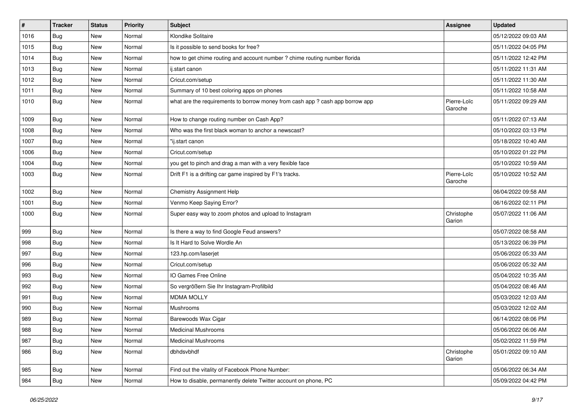| #    | <b>Tracker</b> | <b>Status</b> | <b>Priority</b> | Subject                                                                       | Assignee               | <b>Updated</b>      |
|------|----------------|---------------|-----------------|-------------------------------------------------------------------------------|------------------------|---------------------|
| 1016 | <b>Bug</b>     | <b>New</b>    | Normal          | Klondike Solitaire                                                            |                        | 05/12/2022 09:03 AM |
| 1015 | Bug            | <b>New</b>    | Normal          | Is it possible to send books for free?                                        |                        | 05/11/2022 04:05 PM |
| 1014 | Bug            | New           | Normal          | how to get chime routing and account number ? chime routing number florida    |                        | 05/11/2022 12:42 PM |
| 1013 | Bug            | New           | Normal          | ij.start canon                                                                |                        | 05/11/2022 11:31 AM |
| 1012 | Bug            | <b>New</b>    | Normal          | Cricut.com/setup                                                              |                        | 05/11/2022 11:30 AM |
| 1011 | Bug            | <b>New</b>    | Normal          | Summary of 10 best coloring apps on phones                                    |                        | 05/11/2022 10:58 AM |
| 1010 | Bug            | New           | Normal          | what are the requirements to borrow money from cash app ? cash app borrow app | Pierre-Loïc<br>Garoche | 05/11/2022 09:29 AM |
| 1009 | Bug            | <b>New</b>    | Normal          | How to change routing number on Cash App?                                     |                        | 05/11/2022 07:13 AM |
| 1008 | Bug            | <b>New</b>    | Normal          | Who was the first black woman to anchor a newscast?                           |                        | 05/10/2022 03:13 PM |
| 1007 | <b>Bug</b>     | New           | Normal          | "ii.start canon                                                               |                        | 05/18/2022 10:40 AM |
| 1006 | Bug            | New           | Normal          | Cricut.com/setup                                                              |                        | 05/10/2022 01:22 PM |
| 1004 | Bug            | New           | Normal          | you get to pinch and drag a man with a very flexible face                     |                        | 05/10/2022 10:59 AM |
| 1003 | Bug            | <b>New</b>    | Normal          | Drift F1 is a drifting car game inspired by F1's tracks.                      | Pierre-Loïc<br>Garoche | 05/10/2022 10:52 AM |
| 1002 | Bug            | <b>New</b>    | Normal          | Chemistry Assignment Help                                                     |                        | 06/04/2022 09:58 AM |
| 1001 | Bug            | New           | Normal          | Venmo Keep Saying Error?                                                      |                        | 06/16/2022 02:11 PM |
| 1000 | Bug            | <b>New</b>    | Normal          | Super easy way to zoom photos and upload to Instagram                         | Christophe<br>Garion   | 05/07/2022 11:06 AM |
| 999  | Bug            | <b>New</b>    | Normal          | Is there a way to find Google Feud answers?                                   |                        | 05/07/2022 08:58 AM |
| 998  | Bug            | New           | Normal          | Is It Hard to Solve Wordle An                                                 |                        | 05/13/2022 06:39 PM |
| 997  | <b>Bug</b>     | <b>New</b>    | Normal          | 123.hp.com/laserjet                                                           |                        | 05/06/2022 05:33 AM |
| 996  | Bug            | <b>New</b>    | Normal          | Cricut.com/setup                                                              |                        | 05/06/2022 05:32 AM |
| 993  | Bug            | New           | Normal          | IO Games Free Online                                                          |                        | 05/04/2022 10:35 AM |
| 992  | <b>Bug</b>     | New           | Normal          | So vergrößern Sie Ihr Instagram-Profilbild                                    |                        | 05/04/2022 08:46 AM |
| 991  | Bug            | <b>New</b>    | Normal          | <b>MDMA MOLLY</b>                                                             |                        | 05/03/2022 12:03 AM |
| 990  | Bug            | New           | Normal          | Mushrooms                                                                     |                        | 05/03/2022 12:02 AM |
| 989  | <b>Bug</b>     | New           | Normal          | Barewoods Wax Cigar                                                           |                        | 06/14/2022 08:06 PM |
| 988  | Bug            | <b>New</b>    | Normal          | <b>Medicinal Mushrooms</b>                                                    |                        | 05/06/2022 06:06 AM |
| 987  | Bug            | New           | Normal          | <b>Medicinal Mushrooms</b>                                                    |                        | 05/02/2022 11:59 PM |
| 986  | Bug            | New           | Normal          | dbhdsvbhdf                                                                    | Christophe<br>Garion   | 05/01/2022 09:10 AM |
| 985  | Bug            | New           | Normal          | Find out the vitality of Facebook Phone Number:                               |                        | 05/06/2022 06:34 AM |
| 984  | <b>Bug</b>     | New           | Normal          | How to disable, permanently delete Twitter account on phone, PC               |                        | 05/09/2022 04:42 PM |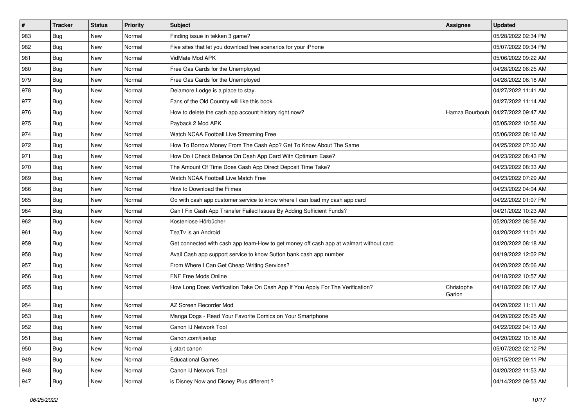| #   | <b>Tracker</b> | <b>Status</b> | <b>Priority</b> | <b>Subject</b>                                                                         | <b>Assignee</b>      | <b>Updated</b>      |
|-----|----------------|---------------|-----------------|----------------------------------------------------------------------------------------|----------------------|---------------------|
| 983 | <b>Bug</b>     | New           | Normal          | Finding issue in tekken 3 game?                                                        |                      | 05/28/2022 02:34 PM |
| 982 | <b>Bug</b>     | New           | Normal          | Five sites that let you download free scenarios for your iPhone                        |                      | 05/07/2022 09:34 PM |
| 981 | Bug            | New           | Normal          | VidMate Mod APK                                                                        |                      | 05/06/2022 09:22 AM |
| 980 | <b>Bug</b>     | New           | Normal          | Free Gas Cards for the Unemployed                                                      |                      | 04/28/2022 06:25 AM |
| 979 | <b>Bug</b>     | <b>New</b>    | Normal          | Free Gas Cards for the Unemployed                                                      |                      | 04/28/2022 06:18 AM |
| 978 | <b>Bug</b>     | New           | Normal          | Delamore Lodge is a place to stay.                                                     |                      | 04/27/2022 11:41 AM |
| 977 | Bug            | New           | Normal          | Fans of the Old Country will like this book.                                           |                      | 04/27/2022 11:14 AM |
| 976 | Bug            | New           | Normal          | How to delete the cash app account history right now?                                  | Hamza Bourbouh       | 04/27/2022 09:47 AM |
| 975 | <b>Bug</b>     | New           | Normal          | Payback 2 Mod APK                                                                      |                      | 05/05/2022 10:56 AM |
| 974 | Bug            | New           | Normal          | Watch NCAA Football Live Streaming Free                                                |                      | 05/06/2022 08:16 AM |
| 972 | <b>Bug</b>     | New           | Normal          | How To Borrow Money From The Cash App? Get To Know About The Same                      |                      | 04/25/2022 07:30 AM |
| 971 | Bug            | New           | Normal          | How Do I Check Balance On Cash App Card With Optimum Ease?                             |                      | 04/23/2022 08:43 PM |
| 970 | Bug            | New           | Normal          | The Amount Of Time Does Cash App Direct Deposit Time Take?                             |                      | 04/23/2022 08:33 AM |
| 969 | <b>Bug</b>     | New           | Normal          | Watch NCAA Football Live Match Free                                                    |                      | 04/23/2022 07:29 AM |
| 966 | <b>Bug</b>     | New           | Normal          | How to Download the Filmes                                                             |                      | 04/23/2022 04:04 AM |
| 965 | Bug            | New           | Normal          | Go with cash app customer service to know where I can load my cash app card            |                      | 04/22/2022 01:07 PM |
| 964 | <b>Bug</b>     | New           | Normal          | Can I Fix Cash App Transfer Failed Issues By Adding Sufficient Funds?                  |                      | 04/21/2022 10:23 AM |
| 962 | Bug            | New           | Normal          | Kostenlose Hörbücher                                                                   |                      | 05/20/2022 08:56 AM |
| 961 | Bug            | New           | Normal          | TeaTv is an Android                                                                    |                      | 04/20/2022 11:01 AM |
| 959 | <b>Bug</b>     | New           | Normal          | Get connected with cash app team-How to get money off cash app at walmart without card |                      | 04/20/2022 08:18 AM |
| 958 | <b>Bug</b>     | New           | Normal          | Avail Cash app support service to know Sutton bank cash app number                     |                      | 04/19/2022 12:02 PM |
| 957 | <b>Bug</b>     | New           | Normal          | From Where I Can Get Cheap Writing Services?                                           |                      | 04/20/2022 05:06 AM |
| 956 | Bug            | New           | Normal          | FNF Free Mods Online                                                                   |                      | 04/18/2022 10:57 AM |
| 955 | <b>Bug</b>     | New           | Normal          | How Long Does Verification Take On Cash App If You Apply For The Verification?         | Christophe<br>Garion | 04/18/2022 08:17 AM |
| 954 | <b>Bug</b>     | New           | Normal          | AZ Screen Recorder Mod                                                                 |                      | 04/20/2022 11:11 AM |
| 953 | <b>Bug</b>     | New           | Normal          | Manga Dogs - Read Your Favorite Comics on Your Smartphone                              |                      | 04/20/2022 05:25 AM |
| 952 | <b>Bug</b>     | New           | Normal          | Canon IJ Network Tool                                                                  |                      | 04/22/2022 04:13 AM |
| 951 | <b>Bug</b>     | New           | Normal          | Canon.com/ijsetup                                                                      |                      | 04/20/2022 10:18 AM |
| 950 | Bug            | New           | Normal          | ij.start canon                                                                         |                      | 05/07/2022 02:12 PM |
| 949 | Bug            | New           | Normal          | <b>Educational Games</b>                                                               |                      | 06/15/2022 09:11 PM |
| 948 | <b>Bug</b>     | New           | Normal          | Canon IJ Network Tool                                                                  |                      | 04/20/2022 11:53 AM |
| 947 | <b>Bug</b>     | New           | Normal          | is Disney Now and Disney Plus different?                                               |                      | 04/14/2022 09:53 AM |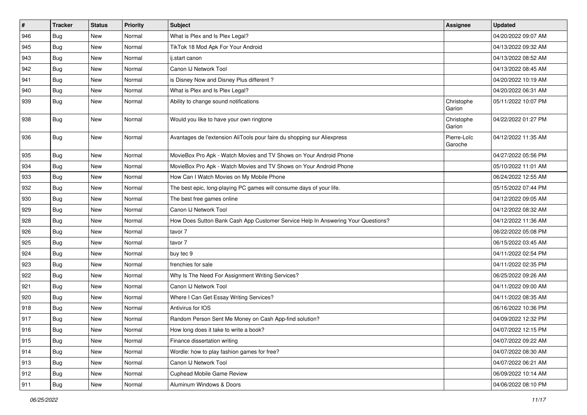| $\vert$ #     | <b>Tracker</b> | <b>Status</b> | <b>Priority</b> | <b>Subject</b>                                                                   | <b>Assignee</b>        | <b>Updated</b>      |
|---------------|----------------|---------------|-----------------|----------------------------------------------------------------------------------|------------------------|---------------------|
| 946           | <b>Bug</b>     | New           | Normal          | What is Plex and Is Plex Legal?                                                  |                        | 04/20/2022 09:07 AM |
| 945           | <b>Bug</b>     | New           | Normal          | TikTok 18 Mod Apk For Your Android                                               |                        | 04/13/2022 09:32 AM |
| 943           | Bug            | New           | Normal          | ij.start canon                                                                   |                        | 04/13/2022 08:52 AM |
| 942           | <b>Bug</b>     | New           | Normal          | Canon IJ Network Tool                                                            |                        | 04/13/2022 08:45 AM |
| 941           | <b>Bug</b>     | New           | Normal          | is Disney Now and Disney Plus different?                                         |                        | 04/20/2022 10:19 AM |
| 940           | <b>Bug</b>     | New           | Normal          | What is Plex and Is Plex Legal?                                                  |                        | 04/20/2022 06:31 AM |
| 939           | Bug            | New           | Normal          | Ability to change sound notifications                                            | Christophe<br>Garion   | 05/11/2022 10:07 PM |
| 938           | Bug            | New           | Normal          | Would you like to have your own ringtone                                         | Christophe<br>Garion   | 04/22/2022 01:27 PM |
| 936           | Bug            | New           | Normal          | Avantages de l'extension AliTools pour faire du shopping sur Aliexpress          | Pierre-Loïc<br>Garoche | 04/12/2022 11:35 AM |
| 935           | Bug            | New           | Normal          | MovieBox Pro Apk - Watch Movies and TV Shows on Your Android Phone               |                        | 04/27/2022 05:56 PM |
| 934           | <b>Bug</b>     | New           | Normal          | MovieBox Pro Apk - Watch Movies and TV Shows on Your Android Phone               |                        | 05/10/2022 11:01 AM |
| 933           | <b>Bug</b>     | New           | Normal          | How Can I Watch Movies on My Mobile Phone                                        |                        | 06/24/2022 12:55 AM |
| 932           | <b>Bug</b>     | New           | Normal          | The best epic, long-playing PC games will consume days of your life.             |                        | 05/15/2022 07:44 PM |
| 930           | Bug            | New           | Normal          | The best free games online                                                       |                        | 04/12/2022 09:05 AM |
| 929           | Bug            | New           | Normal          | Canon IJ Network Tool                                                            |                        | 04/12/2022 08:32 AM |
| 928           | Bug            | New           | Normal          | How Does Sutton Bank Cash App Customer Service Help In Answering Your Questions? |                        | 04/12/2022 11:36 AM |
| 926           | Bug            | New           | Normal          | tavor 7                                                                          |                        | 06/22/2022 05:08 PM |
| 925           | Bug            | New           | Normal          | tavor 7                                                                          |                        | 06/15/2022 03:45 AM |
| 924           | Bug            | New           | Normal          | buy tec 9                                                                        |                        | 04/11/2022 02:54 PM |
| 923           | <b>Bug</b>     | New           | Normal          | frenchies for sale                                                               |                        | 04/11/2022 02:35 PM |
| 922           | <b>Bug</b>     | New           | Normal          | Why Is The Need For Assignment Writing Services?                                 |                        | 06/25/2022 09:26 AM |
| 921           | <b>Bug</b>     | New           | Normal          | Canon IJ Network Tool                                                            |                        | 04/11/2022 09:00 AM |
| 920           | Bug            | New           | Normal          | Where I Can Get Essay Writing Services?                                          |                        | 04/11/2022 08:35 AM |
| 918           | <b>Bug</b>     | New           | Normal          | Antivirus for IOS                                                                |                        | 06/16/2022 10:36 PM |
| 917           | <b>Bug</b>     | New           | Normal          | Random Person Sent Me Money on Cash App-find solution?                           |                        | 04/09/2022 12:32 PM |
| 916           | Bug            | New           | Normal          | How long does it take to write a book?                                           |                        | 04/07/2022 12:15 PM |
| 915           | Bug            | New           | Normal          | Finance dissertation writing                                                     |                        | 04/07/2022 09:22 AM |
| $ 914\rangle$ | Bug            | New           | Normal          | Wordle: how to play fashion games for free?                                      |                        | 04/07/2022 08:30 AM |
| 913           | Bug            | New           | Normal          | Canon IJ Network Tool                                                            |                        | 04/07/2022 06:21 AM |
| 912           | Bug            | New           | Normal          | <b>Cuphead Mobile Game Review</b>                                                |                        | 06/09/2022 10:14 AM |
| 911           | <b>Bug</b>     | New           | Normal          | Aluminum Windows & Doors                                                         |                        | 04/06/2022 08:10 PM |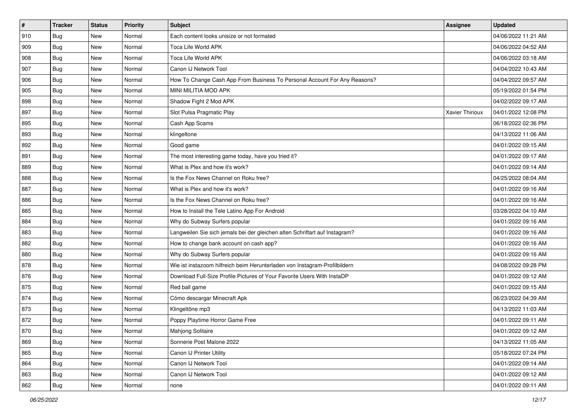| $\sharp$ | <b>Tracker</b> | <b>Status</b> | Priority | Subject                                                                     | Assignee        | <b>Updated</b>      |
|----------|----------------|---------------|----------|-----------------------------------------------------------------------------|-----------------|---------------------|
| 910      | <b>Bug</b>     | New           | Normal   | Each content looks unisize or not formated                                  |                 | 04/06/2022 11:21 AM |
| 909      | <b>Bug</b>     | New           | Normal   | Toca Life World APK                                                         |                 | 04/06/2022 04:52 AM |
| 908      | Bug            | New           | Normal   | Toca Life World APK                                                         |                 | 04/06/2022 03:18 AM |
| 907      | <b>Bug</b>     | New           | Normal   | Canon IJ Network Tool                                                       |                 | 04/04/2022 10:43 AM |
| 906      | Bug            | New           | Normal   | How To Change Cash App From Business To Personal Account For Any Reasons?   |                 | 04/04/2022 09:57 AM |
| 905      | Bug            | New           | Normal   | MINI MILITIA MOD APK                                                        |                 | 05/19/2022 01:54 PM |
| 898      | Bug            | New           | Normal   | Shadow Fight 2 Mod APK                                                      |                 | 04/02/2022 09:17 AM |
| 897      | <b>Bug</b>     | New           | Normal   | Slot Pulsa Pragmatic Play                                                   | Xavier Thirioux | 04/01/2022 12:08 PM |
| 895      | <b>Bug</b>     | New           | Normal   | Cash App Scams                                                              |                 | 06/18/2022 02:36 PM |
| 893      | Bug            | New           | Normal   | klingeltone                                                                 |                 | 04/13/2022 11:06 AM |
| 892      | <b>Bug</b>     | New           | Normal   | Good game                                                                   |                 | 04/01/2022 09:15 AM |
| 891      | <b>Bug</b>     | New           | Normal   | The most interesting game today, have you tried it?                         |                 | 04/01/2022 09:17 AM |
| 889      | <b>Bug</b>     | New           | Normal   | What is Plex and how it's work?                                             |                 | 04/01/2022 09:14 AM |
| 888      | <b>Bug</b>     | New           | Normal   | Is the Fox News Channel on Roku free?                                       |                 | 04/25/2022 08:04 AM |
| 887      | Bug            | New           | Normal   | What is Plex and how it's work?                                             |                 | 04/01/2022 09:16 AM |
| 886      | Bug            | New           | Normal   | Is the Fox News Channel on Roku free?                                       |                 | 04/01/2022 09:16 AM |
| 885      | <b>Bug</b>     | New           | Normal   | How to Install the Tele Latino App For Android                              |                 | 03/28/2022 04:10 AM |
| 884      | Bug            | New           | Normal   | Why do Subway Surfers popular                                               |                 | 04/01/2022 09:16 AM |
| 883      | Bug            | New           | Normal   | Langweilen Sie sich jemals bei der gleichen alten Schriftart auf Instagram? |                 | 04/01/2022 09:16 AM |
| 882      | <b>Bug</b>     | New           | Normal   | How to change bank account on cash app?                                     |                 | 04/01/2022 09:16 AM |
| 880      | Bug            | New           | Normal   | Why do Subway Surfers popular                                               |                 | 04/01/2022 09:16 AM |
| 878      | <b>Bug</b>     | New           | Normal   | Wie ist instazoom hilfreich beim Herunterladen von Instagram-Profilbildern  |                 | 04/08/2022 09:28 PM |
| 876      | Bug            | New           | Normal   | Download Full-Size Profile Pictures of Your Favorite Users With InstaDP     |                 | 04/01/2022 09:12 AM |
| 875      | <b>Bug</b>     | New           | Normal   | Red ball game                                                               |                 | 04/01/2022 09:15 AM |
| 874      | Bug            | New           | Normal   | Cómo descargar Minecraft Apk                                                |                 | 06/23/2022 04:39 AM |
| 873      | <b>Bug</b>     | New           | Normal   | Klingeltöne mp3                                                             |                 | 04/13/2022 11:03 AM |
| 872      | <b>Bug</b>     | New           | Normal   | Poppy Playtime Horror Game Free                                             |                 | 04/01/2022 09:11 AM |
| 870      | i Bug          | New           | Normal   | Mahjong Solitaire                                                           |                 | 04/01/2022 09:12 AM |
| 869      | Bug            | New           | Normal   | Sonnerie Post Malone 2022                                                   |                 | 04/13/2022 11:05 AM |
| 865      | <b>Bug</b>     | New           | Normal   | Canon IJ Printer Utility                                                    |                 | 05/18/2022 07:24 PM |
| 864      | <b>Bug</b>     | New           | Normal   | Canon IJ Network Tool                                                       |                 | 04/01/2022 09:14 AM |
| 863      | <b>Bug</b>     | New           | Normal   | Canon IJ Network Tool                                                       |                 | 04/01/2022 09:12 AM |
| 862      | Bug            | New           | Normal   | none                                                                        |                 | 04/01/2022 09:11 AM |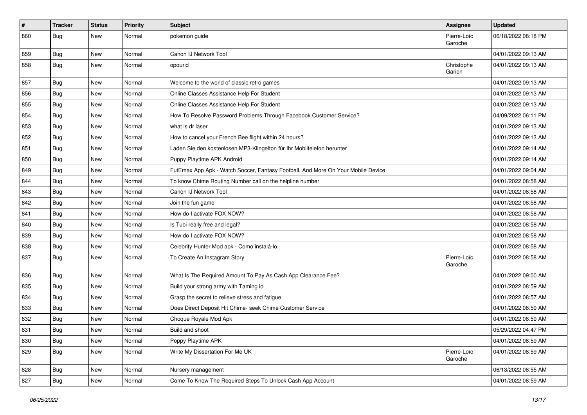| $\vert$ # | Tracker    | <b>Status</b> | <b>Priority</b> | <b>Subject</b>                                                                   | Assignee               | <b>Updated</b>      |
|-----------|------------|---------------|-----------------|----------------------------------------------------------------------------------|------------------------|---------------------|
| 860       | <b>Bug</b> | New           | Normal          | pokemon guide                                                                    | Pierre-Loïc<br>Garoche | 06/18/2022 08:18 PM |
| 859       | <b>Bug</b> | New           | Normal          | Canon IJ Network Tool                                                            |                        | 04/01/2022 09:13 AM |
| 858       | <b>Bug</b> | New           | Normal          | opourid                                                                          | Christophe<br>Garion   | 04/01/2022 09:13 AM |
| 857       | <b>Bug</b> | New           | Normal          | Welcome to the world of classic retro games                                      |                        | 04/01/2022 09:13 AM |
| 856       | <b>Bug</b> | New           | Normal          | Online Classes Assistance Help For Student                                       |                        | 04/01/2022 09:13 AM |
| 855       | <b>Bug</b> | New           | Normal          | Online Classes Assistance Help For Student                                       |                        | 04/01/2022 09:13 AM |
| 854       | <b>Bug</b> | New           | Normal          | How To Resolve Password Problems Through Facebook Customer Service?              |                        | 04/09/2022 06:11 PM |
| 853       | Bug        | New           | Normal          | what is dr laser                                                                 |                        | 04/01/2022 09:13 AM |
| 852       | <b>Bug</b> | New           | Normal          | How to cancel your French Bee flight within 24 hours?                            |                        | 04/01/2022 09:13 AM |
| 851       | <b>Bug</b> | New           | Normal          | Laden Sie den kostenlosen MP3-Klingelton für Ihr Mobiltelefon herunter           |                        | 04/01/2022 09:14 AM |
| 850       | <b>Bug</b> | New           | Normal          | Puppy Playtime APK Android                                                       |                        | 04/01/2022 09:14 AM |
| 849       | <b>Bug</b> | New           | Normal          | FutEmax App Apk - Watch Soccer, Fantasy Football, And More On Your Mobile Device |                        | 04/01/2022 09:04 AM |
| 844       | <b>Bug</b> | New           | Normal          | To know Chime Routing Number call on the helpline number                         |                        | 04/01/2022 08:58 AM |
| 843       | Bug        | New           | Normal          | Canon IJ Network Tool                                                            |                        | 04/01/2022 08:58 AM |
| 842       | Bug        | New           | Normal          | Join the fun game                                                                |                        | 04/01/2022 08:58 AM |
| 841       | <b>Bug</b> | New           | Normal          | How do I activate FOX NOW?                                                       |                        | 04/01/2022 08:58 AM |
| 840       | <b>Bug</b> | New           | Normal          | Is Tubi really free and legal?                                                   |                        | 04/01/2022 08:58 AM |
| 839       | <b>Bug</b> | New           | Normal          | How do I activate FOX NOW?                                                       |                        | 04/01/2022 08:58 AM |
| 838       | <b>Bug</b> | New           | Normal          | Celebrity Hunter Mod apk - Como instalá-lo                                       |                        | 04/01/2022 08:58 AM |
| 837       | Bug        | New           | Normal          | To Create An Instagram Story                                                     | Pierre-Loïc<br>Garoche | 04/01/2022 08:58 AM |
| 836       | <b>Bug</b> | New           | Normal          | What Is The Required Amount To Pay As Cash App Clearance Fee?                    |                        | 04/01/2022 09:00 AM |
| 835       | <b>Bug</b> | New           | Normal          | Build your strong army with Taming io                                            |                        | 04/01/2022 08:59 AM |
| 834       | <b>Bug</b> | New           | Normal          | Grasp the secret to relieve stress and fatigue                                   |                        | 04/01/2022 08:57 AM |
| 833       | Bug        | New           | Normal          | Does Direct Deposit Hit Chime- seek Chime Customer Service                       |                        | 04/01/2022 08:59 AM |
| 832       | <b>Bug</b> | New           | Normal          | Choque Royale Mod Apk                                                            |                        | 04/01/2022 08:59 AM |
| 831       | Bug        | New           | Normal          | Build and shoot                                                                  |                        | 05/29/2022 04:47 PM |
| 830       | Bug        | New           | Normal          | Poppy Playtime APK                                                               |                        | 04/01/2022 08:59 AM |
| 829       | <b>Bug</b> | New           | Normal          | Write My Dissertation For Me UK                                                  | Pierre-Loïc<br>Garoche | 04/01/2022 08:59 AM |
| 828       | Bug        | New           | Normal          | Nursery management                                                               |                        | 06/13/2022 08:55 AM |
| 827       | <b>Bug</b> | New           | Normal          | Come To Know The Required Steps To Unlock Cash App Account                       |                        | 04/01/2022 08:59 AM |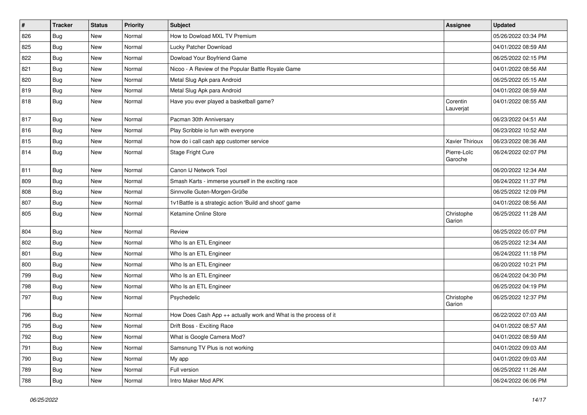| $\vert$ # | <b>Tracker</b> | <b>Status</b> | <b>Priority</b> | <b>Subject</b>                                                   | Assignee               | <b>Updated</b>      |
|-----------|----------------|---------------|-----------------|------------------------------------------------------------------|------------------------|---------------------|
| 826       | <b>Bug</b>     | New           | Normal          | How to Dowload MXL TV Premium                                    |                        | 05/26/2022 03:34 PM |
| 825       | Bug            | New           | Normal          | Lucky Patcher Download                                           |                        | 04/01/2022 08:59 AM |
| 822       | Bug            | New           | Normal          | Dowload Your Boyfriend Game                                      |                        | 06/25/2022 02:15 PM |
| 821       | <b>Bug</b>     | New           | Normal          | Nicoo - A Review of the Popular Battle Royale Game               |                        | 04/01/2022 08:56 AM |
| 820       | Bug            | New           | Normal          | Metal Slug Apk para Android                                      |                        | 06/25/2022 05:15 AM |
| 819       | <b>Bug</b>     | New           | Normal          | Metal Slug Apk para Android                                      |                        | 04/01/2022 08:59 AM |
| 818       | Bug            | New           | Normal          | Have you ever played a basketball game?                          | Corentin<br>Lauverjat  | 04/01/2022 08:55 AM |
| 817       | Bug            | New           | Normal          | Pacman 30th Anniversary                                          |                        | 06/23/2022 04:51 AM |
| 816       | Bug            | New           | Normal          | Play Scribble io fun with everyone                               |                        | 06/23/2022 10:52 AM |
| 815       | Bug            | New           | Normal          | how do i call cash app customer service                          | Xavier Thirioux        | 06/23/2022 08:36 AM |
| 814       | <b>Bug</b>     | New           | Normal          | Stage Fright Cure                                                | Pierre-Loïc<br>Garoche | 06/24/2022 02:07 PM |
| 811       | <b>Bug</b>     | New           | Normal          | Canon IJ Network Tool                                            |                        | 06/20/2022 12:34 AM |
| 809       | Bug            | New           | Normal          | Smash Karts - immerse yourself in the exciting race              |                        | 06/24/2022 11:37 PM |
| 808       | Bug            | New           | Normal          | Sinnvolle Guten-Morgen-Grüße                                     |                        | 06/25/2022 12:09 PM |
| 807       | Bug            | New           | Normal          | 1v1Battle is a strategic action 'Build and shoot' game           |                        | 04/01/2022 08:56 AM |
| 805       | Bug            | New           | Normal          | Ketamine Online Store                                            | Christophe<br>Garion   | 06/25/2022 11:28 AM |
| 804       | Bug            | New           | Normal          | Review                                                           |                        | 06/25/2022 05:07 PM |
| 802       | Bug            | New           | Normal          | Who Is an ETL Engineer                                           |                        | 06/25/2022 12:34 AM |
| 801       | Bug            | New           | Normal          | Who Is an ETL Engineer                                           |                        | 06/24/2022 11:18 PM |
| 800       | Bug            | New           | Normal          | Who Is an ETL Engineer                                           |                        | 06/20/2022 10:21 PM |
| 799       | Bug            | New           | Normal          | Who Is an ETL Engineer                                           |                        | 06/24/2022 04:30 PM |
| 798       | Bug            | New           | Normal          | Who Is an ETL Engineer                                           |                        | 06/25/2022 04:19 PM |
| 797       | Bug            | New           | Normal          | Psychedelic                                                      | Christophe<br>Garion   | 06/25/2022 12:37 PM |
| 796       | <b>Bug</b>     | New           | Normal          | How Does Cash App ++ actually work and What is the process of it |                        | 06/22/2022 07:03 AM |
| 795       | Bug            | New           | Normal          | Drift Boss - Exciting Race                                       |                        | 04/01/2022 08:57 AM |
| 792       | Bug            | New           | Normal          | What is Google Camera Mod?                                       |                        | 04/01/2022 08:59 AM |
| 791       | Bug            | New           | Normal          | Samsnung TV Plus is not working                                  |                        | 04/01/2022 09:03 AM |
| 790       | Bug            | New           | Normal          | My app                                                           |                        | 04/01/2022 09:03 AM |
| 789       | <b>Bug</b>     | New           | Normal          | Full version                                                     |                        | 06/25/2022 11:26 AM |
| 788       | <b>Bug</b>     | New           | Normal          | Intro Maker Mod APK                                              |                        | 06/24/2022 06:06 PM |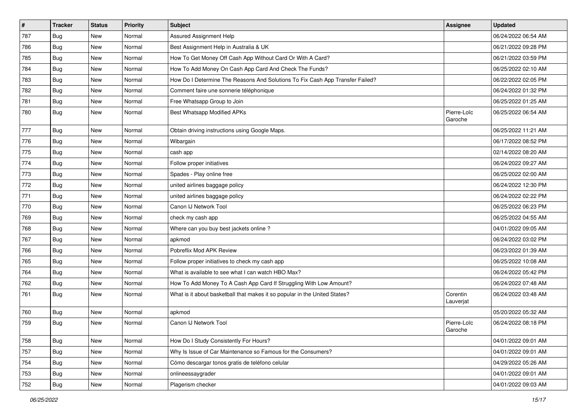| $\vert$ # | <b>Tracker</b> | <b>Status</b> | <b>Priority</b> | Subject                                                                       | Assignee               | <b>Updated</b>      |
|-----------|----------------|---------------|-----------------|-------------------------------------------------------------------------------|------------------------|---------------------|
| 787       | <b>Bug</b>     | New           | Normal          | Assured Assignment Help                                                       |                        | 06/24/2022 06:54 AM |
| 786       | Bug            | <b>New</b>    | Normal          | Best Assignment Help in Australia & UK                                        |                        | 06/21/2022 09:28 PM |
| 785       | Bug            | New           | Normal          | How To Get Money Off Cash App Without Card Or With A Card?                    |                        | 06/21/2022 03:59 PM |
| 784       | Bug            | New           | Normal          | How To Add Money On Cash App Card And Check The Funds?                        |                        | 06/25/2022 02:10 AM |
| 783       | Bug            | New           | Normal          | How Do I Determine The Reasons And Solutions To Fix Cash App Transfer Failed? |                        | 06/22/2022 02:05 PM |
| 782       | Bug            | New           | Normal          | Comment faire une sonnerie téléphonique                                       |                        | 06/24/2022 01:32 PM |
| 781       | Bug            | New           | Normal          | Free Whatsapp Group to Join                                                   |                        | 06/25/2022 01:25 AM |
| 780       | <b>Bug</b>     | New           | Normal          | Best Whatsapp Modified APKs                                                   | Pierre-Loïc<br>Garoche | 06/25/2022 06:54 AM |
| 777       | Bug            | <b>New</b>    | Normal          | Obtain driving instructions using Google Maps.                                |                        | 06/25/2022 11:21 AM |
| 776       | Bug            | New           | Normal          | Wibargain                                                                     |                        | 06/17/2022 08:52 PM |
| 775       | Bug            | New           | Normal          | cash app                                                                      |                        | 02/14/2022 08:20 AM |
| 774       | Bug            | New           | Normal          | Follow proper initiatives                                                     |                        | 06/24/2022 09:27 AM |
| 773       | <b>Bug</b>     | New           | Normal          | Spades - Play online free                                                     |                        | 06/25/2022 02:00 AM |
| 772       | Bug            | <b>New</b>    | Normal          | united airlines baggage policy                                                |                        | 06/24/2022 12:30 PM |
| 771       | Bug            | New           | Normal          | united airlines baggage policy                                                |                        | 06/24/2022 02:22 PM |
| 770       | Bug            | New           | Normal          | Canon IJ Network Tool                                                         |                        | 06/25/2022 06:23 PM |
| 769       | Bug            | New           | Normal          | check my cash app                                                             |                        | 06/25/2022 04:55 AM |
| 768       | Bug            | New           | Normal          | Where can you buy best jackets online?                                        |                        | 04/01/2022 09:05 AM |
| 767       | Bug            | New           | Normal          | apkmod                                                                        |                        | 06/24/2022 03:02 PM |
| 766       | Bug            | <b>New</b>    | Normal          | Pobreflix Mod APK Review                                                      |                        | 06/23/2022 01:39 AM |
| 765       | Bug            | New           | Normal          | Follow proper initiatives to check my cash app                                |                        | 06/25/2022 10:08 AM |
| 764       | Bug            | New           | Normal          | What is available to see what I can watch HBO Max?                            |                        | 06/24/2022 05:42 PM |
| 762       | <b>Bug</b>     | New           | Normal          | How To Add Money To A Cash App Card If Struggling With Low Amount?            |                        | 06/24/2022 07:48 AM |
| 761       | Bug            | New           | Normal          | What is it about basketball that makes it so popular in the United States?    | Corentin<br>Lauverjat  | 06/24/2022 03:48 AM |
| 760       | Bug            | New           | Normal          | apkmod                                                                        |                        | 05/20/2022 05:32 AM |
| 759       | Bug            | New           | Normal          | Canon IJ Network Tool                                                         | Pierre-Loïc<br>Garoche | 06/24/2022 08:18 PM |
| 758       | Bug            | New           | Normal          | How Do I Study Consistently For Hours?                                        |                        | 04/01/2022 09:01 AM |
| 757       | <b>Bug</b>     | New           | Normal          | Why Is Issue of Car Maintenance so Famous for the Consumers?                  |                        | 04/01/2022 09:01 AM |
| 754       | <b>Bug</b>     | New           | Normal          | Cómo descargar tonos gratis de teléfono celular                               |                        | 04/29/2022 05:26 AM |
| 753       | Bug            | New           | Normal          | onlineessaygrader                                                             |                        | 04/01/2022 09:01 AM |
| 752       | Bug            | New           | Normal          | Plagerism checker                                                             |                        | 04/01/2022 09:03 AM |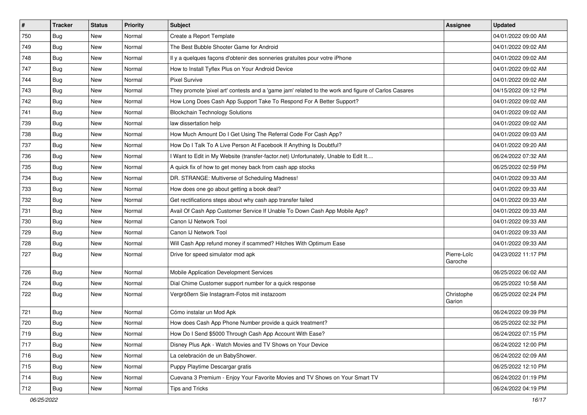| $\sharp$ | <b>Tracker</b> | <b>Status</b> | <b>Priority</b> | Subject                                                                                             | <b>Assignee</b>        | <b>Updated</b>      |
|----------|----------------|---------------|-----------------|-----------------------------------------------------------------------------------------------------|------------------------|---------------------|
| 750      | <b>Bug</b>     | New           | Normal          | Create a Report Template                                                                            |                        | 04/01/2022 09:00 AM |
| 749      | Bug            | <b>New</b>    | Normal          | The Best Bubble Shooter Game for Android                                                            |                        | 04/01/2022 09:02 AM |
| 748      | Bug            | New           | Normal          | Il y a quelques façons d'obtenir des sonneries gratuites pour votre iPhone                          |                        | 04/01/2022 09:02 AM |
| 747      | Bug            | <b>New</b>    | Normal          | How to Install Tyflex Plus on Your Android Device                                                   |                        | 04/01/2022 09:02 AM |
| 744      | Bug            | <b>New</b>    | Normal          | <b>Pixel Survive</b>                                                                                |                        | 04/01/2022 09:02 AM |
| 743      | <b>Bug</b>     | New           | Normal          | They promote 'pixel art' contests and a 'game jam' related to the work and figure of Carlos Casares |                        | 04/15/2022 09:12 PM |
| 742      | Bug            | <b>New</b>    | Normal          | How Long Does Cash App Support Take To Respond For A Better Support?                                |                        | 04/01/2022 09:02 AM |
| 741      | Bug            | New           | Normal          | <b>Blockchain Technology Solutions</b>                                                              |                        | 04/01/2022 09:02 AM |
| 739      | Bug            | <b>New</b>    | Normal          | law dissertation help                                                                               |                        | 04/01/2022 09:02 AM |
| 738      | Bug            | <b>New</b>    | Normal          | How Much Amount Do I Get Using The Referral Code For Cash App?                                      |                        | 04/01/2022 09:03 AM |
| 737      | Bug            | New           | Normal          | How Do I Talk To A Live Person At Facebook If Anything Is Doubtful?                                 |                        | 04/01/2022 09:20 AM |
| 736      | Bug            | <b>New</b>    | Normal          | I Want to Edit in My Website (transfer-factor.net) Unfortunately, Unable to Edit It                 |                        | 06/24/2022 07:32 AM |
| 735      | Bug            | <b>New</b>    | Normal          | A quick fix of how to get money back from cash app stocks                                           |                        | 06/25/2022 02:59 PM |
| 734      | <b>Bug</b>     | New           | Normal          | DR. STRANGE: Multiverse of Scheduling Madness!                                                      |                        | 04/01/2022 09:33 AM |
| 733      | Bug            | <b>New</b>    | Normal          | How does one go about getting a book deal?                                                          |                        | 04/01/2022 09:33 AM |
| 732      | Bug            | New           | Normal          | Get rectifications steps about why cash app transfer failed                                         |                        | 04/01/2022 09:33 AM |
| 731      | Bug            | <b>New</b>    | Normal          | Avail Of Cash App Customer Service If Unable To Down Cash App Mobile App?                           |                        | 04/01/2022 09:33 AM |
| 730      | Bug            | <b>New</b>    | Normal          | Canon IJ Network Tool                                                                               |                        | 04/01/2022 09:33 AM |
| 729      | Bug            | New           | Normal          | Canon IJ Network Tool                                                                               |                        | 04/01/2022 09:33 AM |
| 728      | Bug            | <b>New</b>    | Normal          | Will Cash App refund money if scammed? Hitches With Optimum Ease                                    |                        | 04/01/2022 09:33 AM |
| 727      | Bug            | New           | Normal          | Drive for speed simulator mod apk                                                                   | Pierre-Loïc<br>Garoche | 04/23/2022 11:17 PM |
| 726      | Bug            | <b>New</b>    | Normal          | Mobile Application Development Services                                                             |                        | 06/25/2022 06:02 AM |
| 724      | Bug            | New           | Normal          | Dial Chime Customer support number for a quick response                                             |                        | 06/25/2022 10:58 AM |
| 722      | Bug            | New           | Normal          | Vergrößern Sie Instagram-Fotos mit instazoom                                                        | Christophe<br>Garion   | 06/25/2022 02:24 PM |
| 721      | <b>Bug</b>     | <b>New</b>    | Normal          | Cómo instalar un Mod Apk                                                                            |                        | 06/24/2022 09:39 PM |
| 720      | <b>Bug</b>     | New           | Normal          | How does Cash App Phone Number provide a quick treatment?                                           |                        | 06/25/2022 02:32 PM |
| 719      | Bug            | New           | Normal          | How Do I Send \$5000 Through Cash App Account With Ease?                                            |                        | 06/24/2022 07:15 PM |
| 717      | Bug            | New           | Normal          | Disney Plus Apk - Watch Movies and TV Shows on Your Device                                          |                        | 06/24/2022 12:00 PM |
| 716      | Bug            | <b>New</b>    | Normal          | La celebración de un BabyShower.                                                                    |                        | 06/24/2022 02:09 AM |
| 715      | <b>Bug</b>     | New           | Normal          | Puppy Playtime Descargar gratis                                                                     |                        | 06/25/2022 12:10 PM |
| 714      | Bug            | New           | Normal          | Cuevana 3 Premium - Enjoy Your Favorite Movies and TV Shows on Your Smart TV                        |                        | 06/24/2022 01:19 PM |
| 712      | <b>Bug</b>     | New           | Normal          | <b>Tips and Tricks</b>                                                                              |                        | 06/24/2022 04:19 PM |